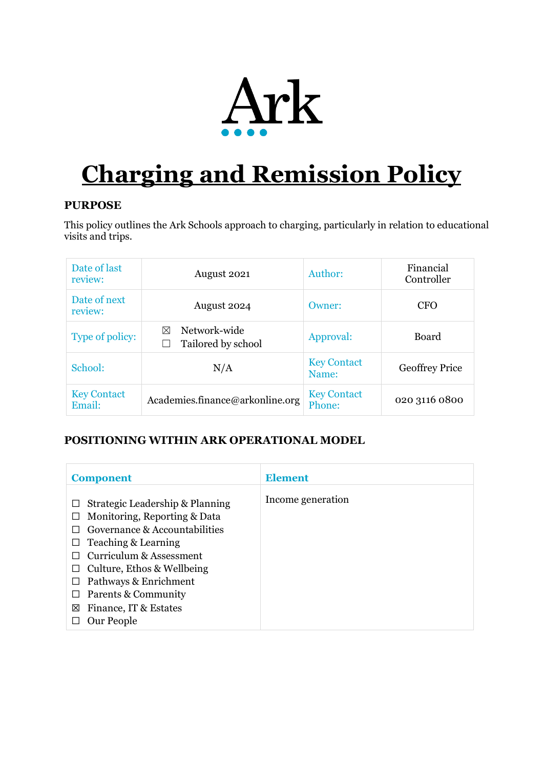

# **Charging and Remission Policy**

# **PURPOSE**

This policy outlines the Ark Schools approach to charging, particularly in relation to educational visits and trips.

| Date of last<br>review:      | August 2021                             | Author:                      | Financial<br>Controller |
|------------------------------|-----------------------------------------|------------------------------|-------------------------|
| Date of next<br>review:      | August 2024                             | Owner:                       | <b>CFO</b>              |
| Type of policy:              | Network-wide<br>X<br>Tailored by school | Approval:                    | Board                   |
| School:                      | N/A                                     | <b>Key Contact</b><br>Name:  | <b>Geoffrey Price</b>   |
| <b>Key Contact</b><br>Email: | Academies.finance@arkonline.org         | <b>Key Contact</b><br>Phone: | 020 3116 0800           |

# **POSITIONING WITHIN ARK OPERATIONAL MODEL**

| <b>Component</b>                                                                                                                                                                                                                                                                       | <b>Element</b>    |
|----------------------------------------------------------------------------------------------------------------------------------------------------------------------------------------------------------------------------------------------------------------------------------------|-------------------|
| Strategic Leadership & Planning<br>Monitoring, Reporting & Data<br>Governance & Accountabilities<br>Teaching & Learning<br>⊔<br>Curriculum & Assessment<br>Culture, Ethos & Wellbeing<br>ப<br>Pathways & Enrichment<br>Parents & Community<br>Finance, IT & Estates<br>⊠<br>Our People | Income generation |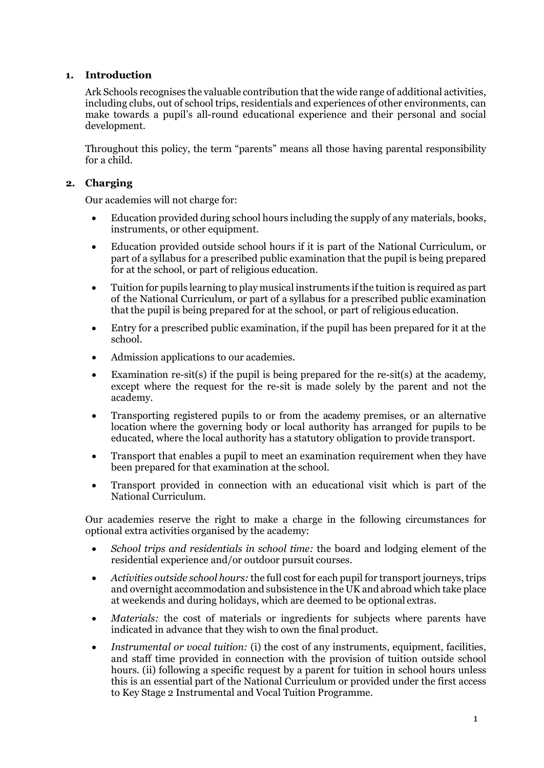# **1. Introduction**

Ark Schools recognises the valuable contribution that the wide range of additional activities, including clubs, out of school trips, residentials and experiences of other environments, can make towards a pupil's all-round educational experience and their personal and social development.

Throughout this policy, the term "parents" means all those having parental responsibility for a child.

# **2. Charging**

Our academies will not charge for:

- Education provided during school hours including the supply of any materials, books, instruments, or other equipment.
- Education provided outside school hours if it is part of the National Curriculum, or part of a syllabus for a prescribed public examination that the pupil is being prepared for at the school, or part of religious education.
- Tuition for pupils learning to play musical instruments ifthe tuition is required as part of the National Curriculum, or part of a syllabus for a prescribed public examination that the pupil is being prepared for at the school, or part of religious education.
- Entry for a prescribed public examination, if the pupil has been prepared for it at the school.
- Admission applications to our academies.
- Examination re-sit(s) if the pupil is being prepared for the re-sit(s) at the academy, except where the request for the re-sit is made solely by the parent and not the academy.
- Transporting registered pupils to or from the academy premises, or an alternative location where the governing body or local authority has arranged for pupils to be educated, where the local authority has a statutory obligation to provide transport.
- Transport that enables a pupil to meet an examination requirement when they have been prepared for that examination at the school.
- Transport provided in connection with an educational visit which is part of the National Curriculum.

Our academies reserve the right to make a charge in the following circumstances for optional extra activities organised by the academy:

- *School trips and residentials in school time:* the board and lodging element of the residential experience and/or outdoor pursuit courses.
- *Activities outside school hours:* the full cost for each pupil for transport journeys, trips and overnight accommodation and subsistence in the UK and abroad which take place at weekends and during holidays, which are deemed to be optional extras.
- *Materials:* the cost of materials or ingredients for subjects where parents have indicated in advance that they wish to own the final product.
- *Instrumental or vocal tuition:* (i) the cost of any instruments, equipment, facilities, and staff time provided in connection with the provision of tuition outside school hours. (ii) following a specific request by a parent for tuition in school hours unless this is an essential part of the National Curriculum or provided under the first access to Key Stage 2 Instrumental and Vocal Tuition Programme.